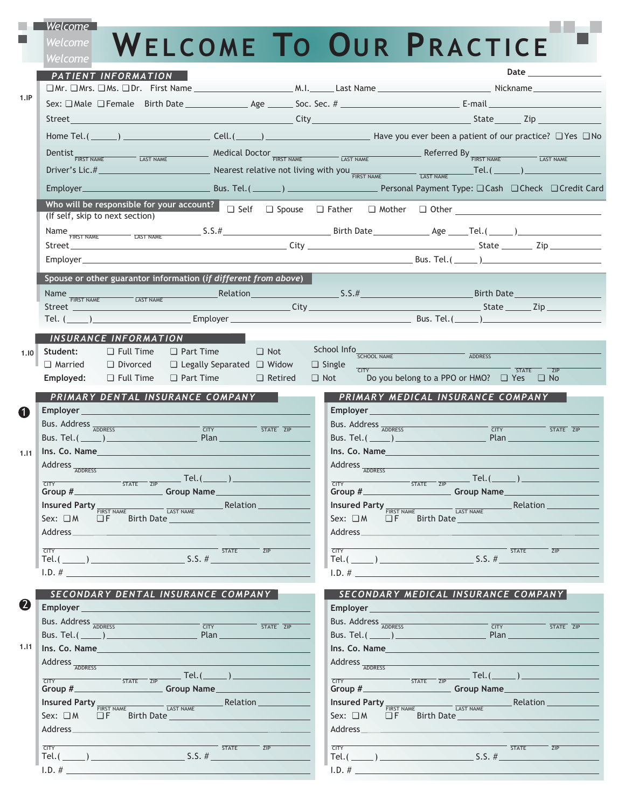| Welcome                                                                                             |                                                                         |                                                   |                                                   |                                                                                                                                                                                                                                                                                                                                                                                                                                   |  |
|-----------------------------------------------------------------------------------------------------|-------------------------------------------------------------------------|---------------------------------------------------|---------------------------------------------------|-----------------------------------------------------------------------------------------------------------------------------------------------------------------------------------------------------------------------------------------------------------------------------------------------------------------------------------------------------------------------------------------------------------------------------------|--|
| Welcome                                                                                             |                                                                         |                                                   |                                                   | WELCOME TO OUR PRACTICE                                                                                                                                                                                                                                                                                                                                                                                                           |  |
| <u>Welc</u> ome                                                                                     |                                                                         |                                                   |                                                   |                                                                                                                                                                                                                                                                                                                                                                                                                                   |  |
| PATIENT INFORMATION                                                                                 |                                                                         |                                                   |                                                   | <b>Date</b> and the set of the set of the set of the set of the set of the set of the set of the set of the set of the set of the set of the set of the set of the set of the set of the set of the set of the set of the set of th                                                                                                                                                                                               |  |
|                                                                                                     |                                                                         |                                                   |                                                   |                                                                                                                                                                                                                                                                                                                                                                                                                                   |  |
| 1.IP                                                                                                |                                                                         |                                                   |                                                   |                                                                                                                                                                                                                                                                                                                                                                                                                                   |  |
|                                                                                                     |                                                                         |                                                   |                                                   |                                                                                                                                                                                                                                                                                                                                                                                                                                   |  |
|                                                                                                     |                                                                         |                                                   |                                                   | Home Tel.(_____) ______________________Cell.(_____) ______________________Have you ever been a patient of our practice? □ Yes □ No                                                                                                                                                                                                                                                                                                |  |
|                                                                                                     |                                                                         |                                                   |                                                   |                                                                                                                                                                                                                                                                                                                                                                                                                                   |  |
|                                                                                                     |                                                                         |                                                   |                                                   | Dentist <sub>FIRST NAME</sub> EXT NAME Medical Doctor <b>FIRST NAME</b> EXT NAME Referred By <b>FIRST NAME</b>                                                                                                                                                                                                                                                                                                                    |  |
| Driver's Lic.# 2008 and 2008 and 2008 and 2008 and 2008 and 2008 and 2008 and 2008 and 2008 and 200 |                                                                         |                                                   |                                                   | Nearest relative not living with you $\frac{1}{\text{FIRST NAME}}$ $\frac{\text{Test NAME}}{\text{LAST NAME}}$                                                                                                                                                                                                                                                                                                                    |  |
|                                                                                                     |                                                                         |                                                   |                                                   |                                                                                                                                                                                                                                                                                                                                                                                                                                   |  |
| Who will be responsible for your account?                                                           |                                                                         |                                                   |                                                   | $\Box$ Self $\Box$ Spouse $\Box$ Father $\Box$ Mother $\Box$ Other                                                                                                                                                                                                                                                                                                                                                                |  |
| (If self, skip to next section)                                                                     |                                                                         |                                                   |                                                   |                                                                                                                                                                                                                                                                                                                                                                                                                                   |  |
|                                                                                                     |                                                                         |                                                   |                                                   | Name $F_{\overline{F RST\text{ NAME}}}$ $\overline{LST\text{ NAME}}$ $\overline{S.S.}.$ $\#$ $\overline{S.S.}.$ $\#$ $\overline{Birth Date}$ $\overline{Age}$ $\overline{Age}$ $\overline{Iel.}$ $\overline{Cel.}$                                                                                                                                                                                                                |  |
|                                                                                                     |                                                                         |                                                   |                                                   |                                                                                                                                                                                                                                                                                                                                                                                                                                   |  |
|                                                                                                     |                                                                         |                                                   |                                                   |                                                                                                                                                                                                                                                                                                                                                                                                                                   |  |
|                                                                                                     | Spouse or other guarantor information (if different from above)         |                                                   |                                                   |                                                                                                                                                                                                                                                                                                                                                                                                                                   |  |
|                                                                                                     |                                                                         |                                                   | <b>Example 2018</b> Relation 2018 19:30:45 S.S. # | <b>Birth Date</b>                                                                                                                                                                                                                                                                                                                                                                                                                 |  |
| Street                                                                                              |                                                                         |                                                   | <u>City Communication City Communication</u>      | and the State Control of Tip Control of the State Control of the State Control of the State Control of the State Control of the State Control of the State Control of the State Control of the State Control of the State Cont                                                                                                                                                                                                    |  |
|                                                                                                     |                                                                         |                                                   |                                                   | Tel. $(\_\_\_)$ Employer $\_\_\_\_$ Employer $\_\_\_\_\_$ Bus. Tel. $(\_\_\_\)_$                                                                                                                                                                                                                                                                                                                                                  |  |
| INSURANCE INFORMATION                                                                               |                                                                         |                                                   |                                                   |                                                                                                                                                                                                                                                                                                                                                                                                                                   |  |
| Student:<br>$\Box$ Full Time<br>1.10                                                                | $\Box$ Part Time                                                        | $\Box$ Not                                        | School Info <sub>SCHOOL NAME</sub>                |                                                                                                                                                                                                                                                                                                                                                                                                                                   |  |
| $\Box$ Married $\Box$ Divorced                                                                      | $\Box$ Legally Separated $\Box$ Widow                                   |                                                   | $\Box$ Single $\frac{1}{CITY}$                    | ADDRESS                                                                                                                                                                                                                                                                                                                                                                                                                           |  |
| $\Box$ Full Time<br>Employed:                                                                       | $\Box$ Part Time $\Box$ Retired                                         |                                                   |                                                   | <b>STATE</b><br>$\overline{ZIP}$<br>□ Not Do you belong to a PPO or HMO? □ Yes □ No                                                                                                                                                                                                                                                                                                                                               |  |
|                                                                                                     | PRIMARY DENTAL INSURANCE COMPANY                                        |                                                   |                                                   | PRIMARY MEDICAL INSURANCE COMPANY                                                                                                                                                                                                                                                                                                                                                                                                 |  |
| Employer<br>$\mathbf \Omega$                                                                        |                                                                         |                                                   | <b>Employer Employer</b>                          |                                                                                                                                                                                                                                                                                                                                                                                                                                   |  |
| Bus. Address ADDRESS                                                                                |                                                                         |                                                   | Bus. Address ADDRESS                              |                                                                                                                                                                                                                                                                                                                                                                                                                                   |  |
| Bus. Tel. $(\_\_)$                                                                                  | $T = 5TATE$ $\overline{ZIP}$<br>Plan                                    |                                                   | Bus. Tel.( $\rule{1em}{0.15mm}$ )                 | $ \overline{CITY}$<br>STATE ZIP<br>Plan                                                                                                                                                                                                                                                                                                                                                                                           |  |
| Ins. Co. Name<br>1.11                                                                               |                                                                         |                                                   | Ins. Co. Name                                     |                                                                                                                                                                                                                                                                                                                                                                                                                                   |  |
| Address <sub>ADDRESS</sub>                                                                          |                                                                         |                                                   |                                                   |                                                                                                                                                                                                                                                                                                                                                                                                                                   |  |
|                                                                                                     |                                                                         |                                                   |                                                   |                                                                                                                                                                                                                                                                                                                                                                                                                                   |  |
|                                                                                                     |                                                                         |                                                   | Address <sub>ADDRESS</sub>                        |                                                                                                                                                                                                                                                                                                                                                                                                                                   |  |
| <b>CITY</b>                                                                                         |                                                                         |                                                   |                                                   | $\frac{1}{\text{STAY}}$ $\frac{1}{\text{STATE}}$ $\frac{1}{\text{ZIP}}$ $\text{Tel.}$ $\boxed{\text{L}}$                                                                                                                                                                                                                                                                                                                          |  |
|                                                                                                     |                                                                         |                                                   |                                                   |                                                                                                                                                                                                                                                                                                                                                                                                                                   |  |
| Insured Party FIRST NAME LAST NAME Relation<br>Sex: O M O F Birth Date                              |                                                                         |                                                   |                                                   | $\textit{Insured Party}\xspace_{\overline{\textit{FIRST NAME}}}\xspace_{\textit{LAST NAME}}\textit{Relation}\xspace_{\textit{LAST NAME}}$<br>Sex: OM OF Birth Date                                                                                                                                                                                                                                                                |  |
|                                                                                                     |                                                                         |                                                   |                                                   |                                                                                                                                                                                                                                                                                                                                                                                                                                   |  |
| <b>CITY</b>                                                                                         |                                                                         |                                                   | <b>CITY</b>                                       | $\overline{\text{STATE}}$ $\overline{\text{ZIP}}$                                                                                                                                                                                                                                                                                                                                                                                 |  |
| Tel.( $\qquad \qquad$ )                                                                             | $\overline{\text{STATE}}$ $\overline{\text{ZIP}}$                       |                                                   |                                                   | Tel.( $\_\_$ ) S.S. #                                                                                                                                                                                                                                                                                                                                                                                                             |  |
| 1.D. #                                                                                              |                                                                         |                                                   | 1.D. #                                            |                                                                                                                                                                                                                                                                                                                                                                                                                                   |  |
|                                                                                                     |                                                                         |                                                   |                                                   |                                                                                                                                                                                                                                                                                                                                                                                                                                   |  |
| SECONDARY DENTAL INSURANCE COMPANY                                                                  |                                                                         |                                                   |                                                   | SECONDARY MEDICAL INSURANCE COMPANY                                                                                                                                                                                                                                                                                                                                                                                               |  |
|                                                                                                     |                                                                         |                                                   |                                                   | Employer <b>Employer</b>                                                                                                                                                                                                                                                                                                                                                                                                          |  |
| Bus. Address ADDRESS                                                                                |                                                                         | $\overline{\text{STATE}}$ $\overline{\text{ZIP}}$ |                                                   | Bus. Address ADDRESS <b>ADDRESS CITY</b><br>$\overline{\text{STATE}}$ $\overline{\text{ZIP}}$                                                                                                                                                                                                                                                                                                                                     |  |
| Ins. Co. Name                                                                                       |                                                                         |                                                   | Ins. Co. Name                                     |                                                                                                                                                                                                                                                                                                                                                                                                                                   |  |
|                                                                                                     |                                                                         |                                                   |                                                   |                                                                                                                                                                                                                                                                                                                                                                                                                                   |  |
| Address <sub>ADDRESS</sub>                                                                          |                                                                         |                                                   | Address ADDRESS                                   |                                                                                                                                                                                                                                                                                                                                                                                                                                   |  |
|                                                                                                     |                                                                         |                                                   |                                                   |                                                                                                                                                                                                                                                                                                                                                                                                                                   |  |
|                                                                                                     |                                                                         |                                                   |                                                   | $\frac{1}{\text{CTY}}$ $\frac{1}{\text{STATE}}$ $\frac{1}{\text{ZIP}}$ $\frac{1}{\text{Group Name}}$ $\frac{1}{\text{Group Name}}$                                                                                                                                                                                                                                                                                                |  |
| Sex: OM OF Birth Date                                                                               |                                                                         |                                                   | Sex: OM OF Birth Date                             | Insured Party FIRST NAME LAST NAME Relation                                                                                                                                                                                                                                                                                                                                                                                       |  |
|                                                                                                     |                                                                         |                                                   |                                                   |                                                                                                                                                                                                                                                                                                                                                                                                                                   |  |
| $\boldsymbol{2}$<br>1.11<br>$\frac{1}{\text{CITY}}$ $\frac{1}{\text{STATE}}$ $\frac{1}{\text{ZIP}}$ | $\overline{\overline{\text{STATE}}}$ $\overline{\overline{\text{ZIP}}}$ |                                                   |                                                   | $T$ $\overline{C}$ $\overline{C}$ $\overline{C}$ $\overline{C}$ $\overline{C}$ $\overline{C}$ $\overline{C}$ $\overline{C}$ $\overline{C}$ $\overline{C}$ $\overline{C}$ $\overline{C}$ $\overline{C}$ $\overline{C}$ $\overline{C}$ $\overline{C}$ $\overline{C}$ $\overline{C}$ $\overline{C}$ $\overline{C}$ $\overline{C}$ $\overline{C}$ $\overline{C}$ $\overline{C}$<br>$ \overline{\text{STATE}}$ $\overline{\text{ZIP}}$ |  |

I.D. #

I.D. #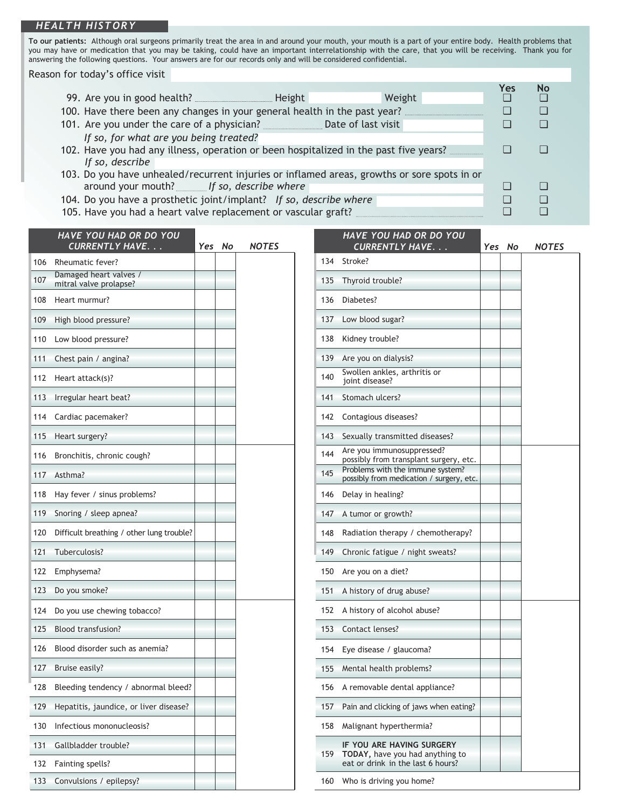## *HEALTH HISTORY*

**To our patients:** Although oral surgeons primarily treat the area in and around your mouth, your mouth is a part of your entire body. Health problems that you may have or medication that you may be taking, could have an important interrelationship with the care, that you will be receiving. Thank you for answering the following questions. Your answers are for our records only and will be considered confidential.

Reason for today's office visit

|                                                                                             |        | Yes | No |  |
|---------------------------------------------------------------------------------------------|--------|-----|----|--|
|                                                                                             | Weight |     |    |  |
| 100. Have there been any changes in your general health in the past year?                   |        |     |    |  |
|                                                                                             |        |     |    |  |
| If so, for what are you being treated?                                                      |        |     |    |  |
| 102. Have you had any illness, operation or been hospitalized in the past five years?       |        |     |    |  |
| If so, describe                                                                             |        |     |    |  |
| 103. Do you have unhealed/recurrent injuries or inflamed areas, growths or sore spots in or |        |     |    |  |
| around your mouth? <i>If so, describe where</i>                                             |        |     |    |  |
| 104. Do you have a prosthetic joint/implant? If so, describe where                          |        |     |    |  |
| 105. Have you had a heart valve replacement or vascular graft?                              |        |     |    |  |

|     | <b>HAVE YOU HAD OR DO YOU</b><br><b>CURRENTLY HAVE</b> | Yes | No | NOTES |
|-----|--------------------------------------------------------|-----|----|-------|
| 106 | Rheumatic fever?                                       |     |    |       |
| 107 | Damaged heart valves /<br>mitral valve prolapse?       |     |    |       |
| 108 | Heart murmur?                                          |     |    |       |
| 109 | High blood pressure?                                   |     |    |       |
| 110 | Low blood pressure?                                    |     |    |       |
| 111 | Chest pain / angina?                                   |     |    |       |
| 112 | Heart attack(s)?                                       |     |    |       |
| 113 | Irregular heart beat?                                  |     |    |       |
| 114 | Cardiac pacemaker?                                     |     |    |       |
| 115 | Heart surgery?                                         |     |    |       |
| 116 | Bronchitis, chronic cough?                             |     |    |       |
| 117 | Asthma?                                                |     |    |       |
| 118 | Hay fever / sinus problems?                            |     |    |       |
| 119 | Snoring / sleep apnea?                                 |     |    |       |
| 120 | Difficult breathing / other lung trouble?              |     |    |       |
| 121 | Tuberculosis?                                          |     |    |       |
| 122 | Emphysema?                                             |     |    |       |
| 123 | Do you smoke?                                          |     |    |       |
| 124 | Do you use chewing tobacco?                            |     |    |       |
| 125 | <b>Blood transfusion?</b>                              |     |    |       |
| 126 | Blood disorder such as anemia?                         |     |    |       |
| 127 | Bruise easily?                                         |     |    |       |
| 128 | Bleeding tendency / abnormal bleed?                    |     |    |       |
| 129 | Hepatitis, jaundice, or liver disease?                 |     |    |       |
| 130 | Infectious mononucleosis?                              |     |    |       |
| 131 | Gallbladder trouble?                                   |     |    |       |
| 132 | Fainting spells?                                       |     |    |       |
| 133 | Convulsions / epilepsy?                                |     |    |       |

|     | HAVE YOU HAD OR DO YOU<br><b>CURRENTLY HAVE.</b>                                                  | Yes | No | <b>NOTES</b> |
|-----|---------------------------------------------------------------------------------------------------|-----|----|--------------|
| 134 | Stroke?                                                                                           |     |    |              |
| 135 | Thyroid trouble?                                                                                  |     |    |              |
| 136 | Diabetes?                                                                                         |     |    |              |
| 137 | Low blood sugar?                                                                                  |     |    |              |
| 138 | Kidney trouble?                                                                                   |     |    |              |
| 139 | Are you on dialysis?                                                                              |     |    |              |
| 140 | Swollen ankles, arthritis or<br>joint disease?                                                    |     |    |              |
| 141 | Stomach ulcers?                                                                                   |     |    |              |
| 142 | Contagious diseases?                                                                              |     |    |              |
| 143 | Sexually transmitted diseases?                                                                    |     |    |              |
| 144 | Are you immunosuppressed?<br>possibly from transplant surgery, etc.                               |     |    |              |
| 145 | Problems with the immune system?<br>possibly from medication / surgery, etc.                      |     |    |              |
| 146 | Delay in healing?                                                                                 |     |    |              |
| 147 | A tumor or growth?                                                                                |     |    |              |
| 148 | Radiation therapy / chemotherapy?                                                                 |     |    |              |
| 149 | Chronic fatigue / night sweats?                                                                   |     |    |              |
| 150 | Are you on a diet?                                                                                |     |    |              |
| 151 | A history of drug abuse?                                                                          |     |    |              |
| 152 | A history of alcohol abuse?                                                                       |     |    |              |
| 153 | Contact lenses?                                                                                   |     |    |              |
| 154 | Eye disease / glaucoma?                                                                           |     |    |              |
| 155 | Mental health problems?                                                                           |     |    |              |
|     | 156 A removable dental appliance?                                                                 |     |    |              |
| 157 | Pain and clicking of jaws when eating?                                                            |     |    |              |
| 158 | Malignant hyperthermia?                                                                           |     |    |              |
| 159 | IF YOU ARE HAVING SURGERY<br>TODAY, have you had anything to<br>eat or drink in the last 6 hours? |     |    |              |
| 160 | Who is driving you home?                                                                          |     |    |              |